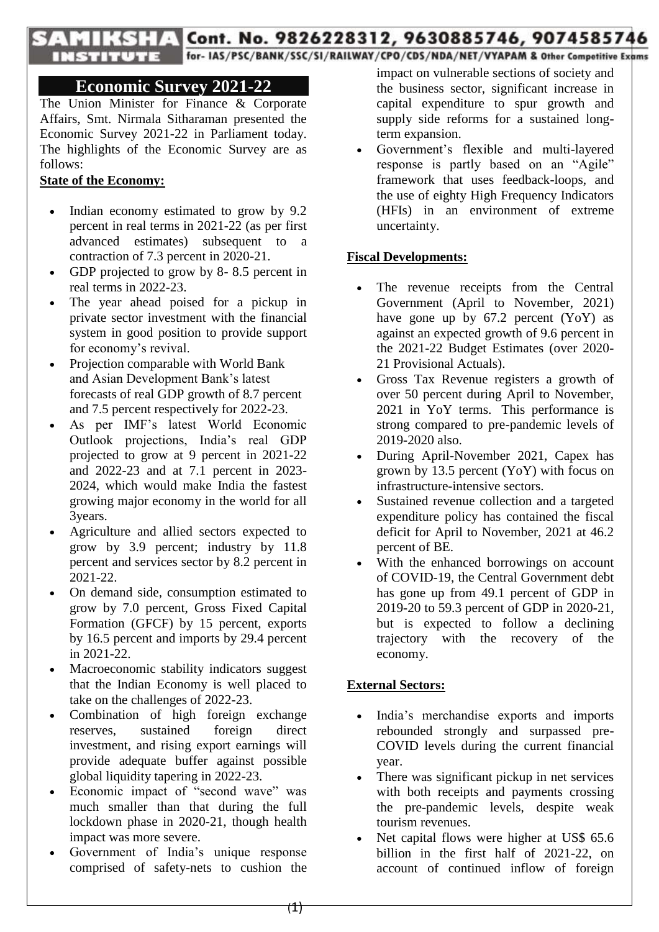# TITS TV Cont. No. 9826228312, 9630885746, 9074585746

THE STILLING TOP-1AS/PSC/BANK/SSC/SI/RAILWAY/CPO/CDS/NDA/NET/VYAPAM & Other Competitive Exams

## **Economic Survey 2021-22**

The Union Minister for Finance & Corporate Affairs, Smt. Nirmala Sitharaman presented the Economic Survey 2021-22 in Parliament today. The highlights of the Economic Survey are as follows:

## **State of the Economy:**

- Indian economy estimated to grow by 9.2 percent in real terms in 2021-22 (as per first advanced estimates) subsequent to a contraction of 7.3 percent in 2020-21.
- GDP projected to grow by 8- 8.5 percent in real terms in 2022-23.
- The year ahead poised for a pickup in private sector investment with the financial system in good position to provide support for economy's revival.
- Projection comparable with World Bank and Asian Development Bank"s latest forecasts of real GDP growth of 8.7 percent and 7.5 percent respectively for 2022-23.
- As per IMF"s latest World Economic Outlook projections, India"s real GDP projected to grow at 9 percent in 2021-22 and 2022-23 and at 7.1 percent in 2023- 2024, which would make India the fastest growing major economy in the world for all 3years.
- Agriculture and allied sectors expected to grow by 3.9 percent; industry by 11.8 percent and services sector by 8.2 percent in 2021-22.
- On demand side, consumption estimated to grow by 7.0 percent, Gross Fixed Capital Formation (GFCF) by 15 percent, exports by 16.5 percent and imports by 29.4 percent in 2021-22.
- Macroeconomic stability indicators suggest that the Indian Economy is well placed to take on the challenges of 2022-23.
- Combination of high foreign exchange reserves, sustained foreign direct investment, and rising export earnings will provide adequate buffer against possible global liquidity tapering in 2022-23.
- Economic impact of "second wave" was much smaller than that during the full lockdown phase in 2020-21, though health impact was more severe.
- Government of India"s unique response comprised of safety-nets to cushion the

impact on vulnerable sections of society and the business sector, significant increase in capital expenditure to spur growth and supply side reforms for a sustained longterm expansion.

 Government"s flexible and multi-layered response is partly based on an "Agile" framework that uses feedback-loops, and the use of eighty High Frequency Indicators (HFIs) in an environment of extreme uncertainty.

#### **Fiscal Developments:**

- The revenue receipts from the Central Government (April to November, 2021) have gone up by 67.2 percent (YoY) as against an expected growth of 9.6 percent in the 2021-22 Budget Estimates (over 2020- 21 Provisional Actuals).
- Gross Tax Revenue registers a growth of over 50 percent during April to November, 2021 in YoY terms. This performance is strong compared to pre-pandemic levels of 2019-2020 also.
- During April-November 2021, Capex has grown by 13.5 percent (YoY) with focus on infrastructure-intensive sectors.
- Sustained revenue collection and a targeted expenditure policy has contained the fiscal deficit for April to November, 2021 at 46.2 percent of BE.
- With the enhanced borrowings on account of COVID-19, the Central Government debt has gone up from 49.1 percent of GDP in 2019-20 to 59.3 percent of GDP in 2020-21, but is expected to follow a declining trajectory with the recovery of the economy.

## **External Sectors:**

- India's merchandise exports and imports rebounded strongly and surpassed pre-COVID levels during the current financial year.
- There was significant pickup in net services with both receipts and payments crossing the pre-pandemic levels, despite weak tourism revenues.
- Net capital flows were higher at US\$ 65.6 billion in the first half of 2021-22, on account of continued inflow of foreign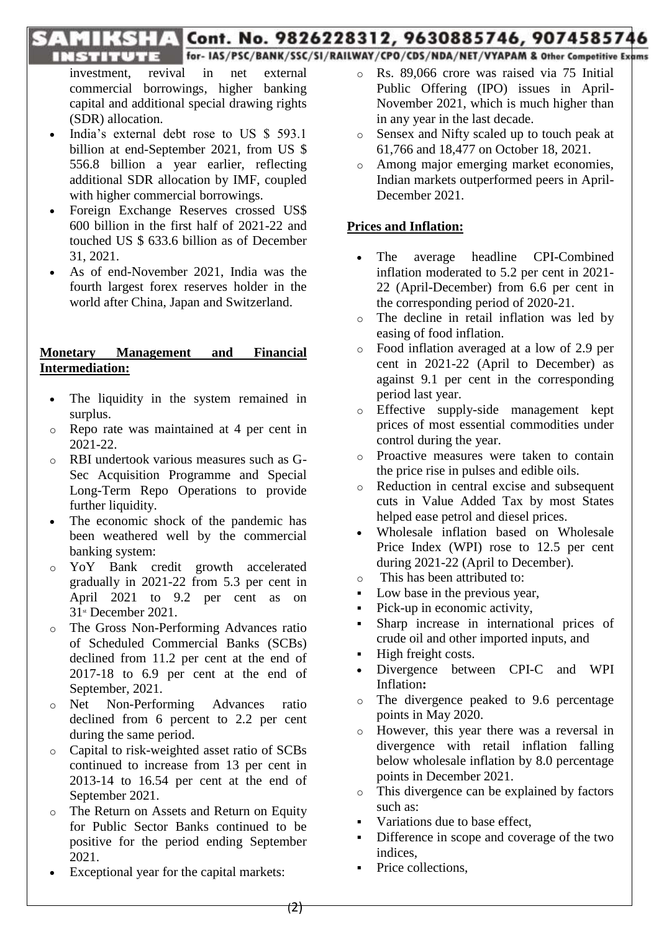## TI TELE Cont. No. 9826228312, 9630885746, 9074585746

for- IAS/PSC/BANK/SSC/SI/RAILWAY/CPO/CDS/NDA/NET/VYAPAM & Other Competitive Exams

**INSTITUTE** investment, revival in net external commercial borrowings, higher banking capital and additional special drawing rights (SDR) allocation.

- India"s external debt rose to US \$ 593.1 billion at end-September 2021, from US \$ 556.8 billion a year earlier, reflecting additional SDR allocation by IMF, coupled with higher commercial borrowings.
- Foreign Exchange Reserves crossed US\$ 600 billion in the first half of 2021-22 and touched US \$ 633.6 billion as of December 31, 2021.
- As of end-November 2021, India was the fourth largest forex reserves holder in the world after China, Japan and Switzerland.

### **Monetary Management and Financial Intermediation:**

- The liquidity in the system remained in surplus.
- o Repo rate was maintained at 4 per cent in 2021-22.
- o RBI undertook various measures such as G-Sec Acquisition Programme and Special Long-Term Repo Operations to provide further liquidity.
- The economic shock of the pandemic has been weathered well by the commercial banking system:
- o YoY Bank credit growth accelerated gradually in 2021-22 from 5.3 per cent in April 2021 to 9.2 per cent as on 31st December 2021.
- o The Gross Non-Performing Advances ratio of Scheduled Commercial Banks (SCBs) declined from 11.2 per cent at the end of 2017-18 to 6.9 per cent at the end of September, 2021.
- o Net Non-Performing Advances ratio declined from 6 percent to 2.2 per cent during the same period.
- o Capital to risk-weighted asset ratio of SCBs continued to increase from 13 per cent in 2013-14 to 16.54 per cent at the end of September 2021.
- o The Return on Assets and Return on Equity for Public Sector Banks continued to be positive for the period ending September 2021.
- Exceptional year for the capital markets:
- o Rs. 89,066 crore was raised via 75 Initial Public Offering (IPO) issues in April-November 2021, which is much higher than in any year in the last decade.
- o Sensex and Nifty scaled up to touch peak at 61,766 and 18,477 on October 18, 2021.
- o Among major emerging market economies, Indian markets outperformed peers in April-December 2021.

## **Prices and Inflation:**

- The average headline CPI-Combined inflation moderated to 5.2 per cent in 2021- 22 (April-December) from 6.6 per cent in the corresponding period of 2020-21.
- o The decline in retail inflation was led by easing of food inflation.
- o Food inflation averaged at a low of 2.9 per cent in 2021-22 (April to December) as against 9.1 per cent in the corresponding period last year.
- o Effective supply-side management kept prices of most essential commodities under control during the year.
- o Proactive measures were taken to contain the price rise in pulses and edible oils.
- o Reduction in central excise and subsequent cuts in Value Added Tax by most States helped ease petrol and diesel prices.
- Wholesale inflation based on Wholesale Price Index (WPI) rose to 12.5 per cent during 2021-22 (April to December).
- o This has been attributed to:
- Low base in the previous year,
- Pick-up in economic activity,
- Sharp increase in international prices of crude oil and other imported inputs, and
- **High freight costs.**
- Divergence between CPI-C and WPI Inflation**:**
- o The divergence peaked to 9.6 percentage points in May 2020.
- o However, this year there was a reversal in divergence with retail inflation falling below wholesale inflation by 8.0 percentage points in December 2021.
- o This divergence can be explained by factors such as:
- Variations due to base effect,
- Difference in scope and coverage of the two indices,
- Price collections,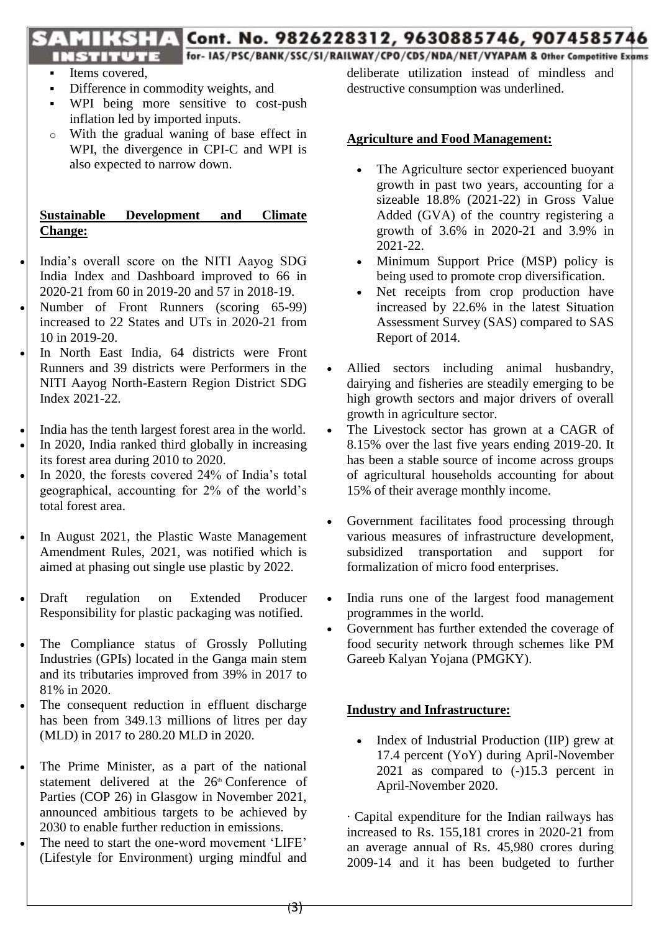## THE Cont. No. 9826228312, 9630885746, 9074585746 **TRISTITUTE** for-IAS/PSC/BANK/SSC/SI/RAILWAY/CPO/CDS/NDA/NET/VYAPAM & Other Competitive Exams

# Items covered,

- Difference in commodity weights, and
- WPI being more sensitive to cost-push inflation led by imported inputs.
- o With the gradual waning of base effect in WPI, the divergence in CPI-C and WPI is also expected to narrow down.

## **Sustainable Development and Climate Change:**

- India"s overall score on the NITI Aayog SDG India Index and Dashboard improved to 66 in 2020-21 from 60 in 2019-20 and 57 in 2018-19.
- Number of Front Runners (scoring 65-99) increased to 22 States and UTs in 2020-21 from 10 in 2019-20.
- In North East India, 64 districts were Front Runners and 39 districts were Performers in the NITI Aayog North-Eastern Region District SDG Index 2021-22.
- India has the tenth largest forest area in the world.
- In 2020, India ranked third globally in increasing its forest area during 2010 to 2020.
- In 2020, the forests covered 24% of India"s total geographical, accounting for 2% of the world"s total forest area.
- In August 2021, the Plastic Waste Management Amendment Rules, 2021, was notified which is aimed at phasing out single use plastic by 2022.
- Draft regulation on Extended Producer Responsibility for plastic packaging was notified.
- The Compliance status of Grossly Polluting Industries (GPIs) located in the Ganga main stem and its tributaries improved from 39% in 2017 to 81% in 2020.
- The consequent reduction in effluent discharge has been from 349.13 millions of litres per day (MLD) in 2017 to 280.20 MLD in 2020.
- The Prime Minister, as a part of the national statement delivered at the 26<sup>th</sup> Conference of Parties (COP 26) in Glasgow in November 2021, announced ambitious targets to be achieved by 2030 to enable further reduction in emissions.
- The need to start the one-word movement "LIFE" (Lifestyle for Environment) urging mindful and

deliberate utilization instead of mindless and destructive consumption was underlined.

### **Agriculture and Food Management:**

- The Agriculture sector experienced buoyant growth in past two years, accounting for a sizeable 18.8% (2021-22) in Gross Value Added (GVA) of the country registering a growth of 3.6% in 2020-21 and 3.9% in 2021-22.
- Minimum Support Price (MSP) policy is being used to promote crop diversification.
- Net receipts from crop production have increased by 22.6% in the latest Situation Assessment Survey (SAS) compared to SAS Report of 2014.
- Allied sectors including animal husbandry, dairying and fisheries are steadily emerging to be high growth sectors and major drivers of overall growth in agriculture sector.
- The Livestock sector has grown at a CAGR of 8.15% over the last five years ending 2019-20. It has been a stable source of income across groups of agricultural households accounting for about 15% of their average monthly income.
- Government facilitates food processing through various measures of infrastructure development, subsidized transportation and support for formalization of micro food enterprises.
- India runs one of the largest food management programmes in the world.
- Government has further extended the coverage of food security network through schemes like PM Gareeb Kalyan Yojana (PMGKY).

#### **Industry and Infrastructure:**

• Index of Industrial Production (IIP) grew at 17.4 percent (YoY) during April-November 2021 as compared to (-)15.3 percent in April-November 2020.

· Capital expenditure for the Indian railways has increased to Rs. 155,181 crores in 2020-21 from an average annual of Rs. 45,980 crores during 2009-14 and it has been budgeted to further